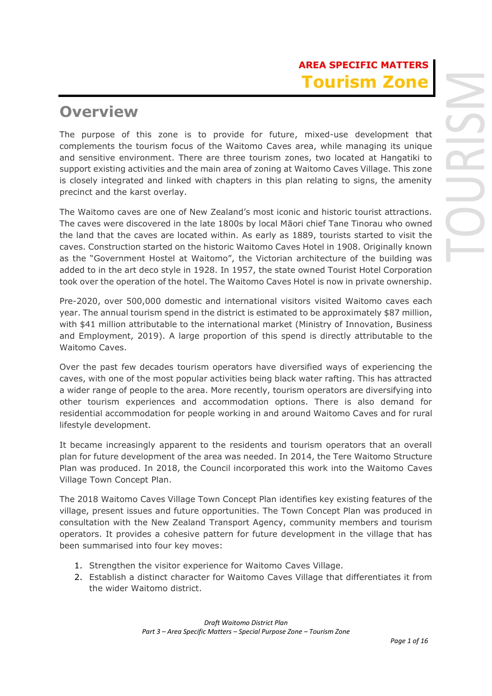# **AREA SPECIFIC MATTERS Tourism Zone**

# **Overview**

The purpose of this zone is to provide for future, mixed-use development that complements the tourism focus of the Waitomo Caves area, while managing its unique and sensitive environment. There are three tourism zones, two located at Hangatiki to support existing activities and the main area of zoning at Waitomo Caves Village. This zone is closely integrated and linked with chapters in this plan relating to signs, the amenity precinct and the karst overlay.

The Waitomo caves are one of New Zealand's most iconic and historic tourist attractions. The caves were discovered in the late 1800s by local Māori chief Tane Tinorau who owned the land that the caves are located within. As early as 1889, tourists started to visit the caves. Construction started on the historic Waitomo Caves Hotel in 1908. Originally known as the "Government Hostel at Waitomo", the Victorian architecture of the building was added to in the art deco style in 1928. In 1957, the state owned Tourist Hotel Corporation took over the operation of the hotel. The Waitomo Caves Hotel is now in private ownership.

Pre-2020, over 500,000 domestic and international visitors visited Waitomo caves each year. The annual tourism spend in the district is estimated to be approximately \$87 million, with \$41 million attributable to the international market (Ministry of Innovation, Business and Employment, 2019). A large proportion of this spend is directly attributable to the Waitomo Caves.

Over the past few decades tourism operators have diversified ways of experiencing the caves, with one of the most popular activities being black water rafting. This has attracted a wider range of people to the area. More recently, tourism operators are diversifying into other tourism experiences and accommodation options. There is also demand for residential accommodation for people working in and around Waitomo Caves and for rural lifestyle development.

It became increasingly apparent to the residents and tourism operators that an overall plan for future development of the area was needed. In 2014, the Tere Waitomo Structure Plan was produced. In 2018, the Council incorporated this work into the Waitomo Caves Village Town Concept Plan.

The 2018 Waitomo Caves Village Town Concept Plan identifies key existing features of the village, present issues and future opportunities. The Town Concept Plan was produced in consultation with the New Zealand Transport Agency, community members and tourism operators. It provides a cohesive pattern for future development in the village that has been summarised into four key moves:

- 1. Strengthen the visitor experience for Waitomo Caves Village.
- 2. Establish a distinct character for Waitomo Caves Village that differentiates it from the wider Waitomo district.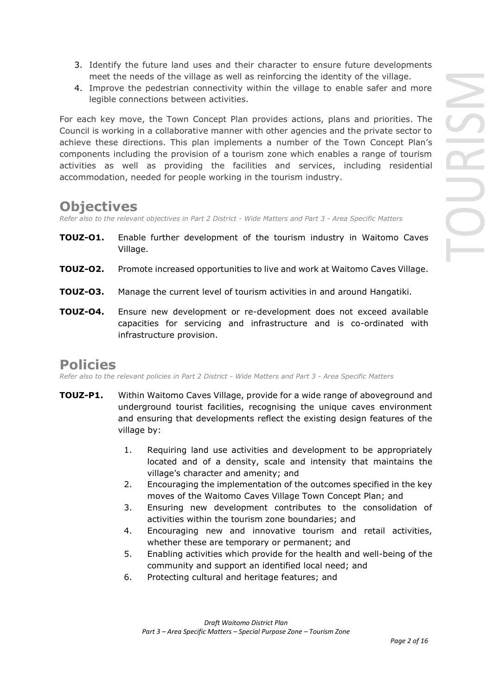- 3. Identify the future land uses and their character to ensure future developments meet the needs of the village as well as reinforcing the identity of the village.
- 4. Improve the pedestrian connectivity within the village to enable safer and more legible connections between activities.

For each key move, the Town Concept Plan provides actions, plans and priorities. The Council is working in a collaborative manner with other agencies and the private sector to achieve these directions. This plan implements a number of the Town Concept Plan's components including the provision of a tourism zone which enables a range of tourism activities as well as providing the facilities and services, including residential accommodation, needed for people working in the tourism industry.

## **Objectives**

*Refer also to the relevant objectives in Part 2 District - Wide Matters and Part 3 - Area Specific Matters*

- **TOUZ-O1.** Enable further development of the tourism industry in Waitomo Caves Village.
- **TOUZ-O2.** Promote increased opportunities to live and work at Waitomo Caves Village.
- **TOUZ-O3.** Manage the current level of tourism activities in and around Hangatiki.
- **TOUZ-O4.** Ensure new development or re-development does not exceed available capacities for servicing and infrastructure and is co-ordinated with infrastructure provision.

## **Policies**

*Refer also to the relevant policies in Part 2 District - Wide Matters and Part 3 - Area Specific Matters*

- **TOUZ-P1.** Within Waitomo Caves Village, provide for a wide range of aboveground and underground tourist facilities, recognising the unique caves environment and ensuring that developments reflect the existing design features of the village by:
	- 1. Requiring land use activities and development to be appropriately located and of a density, scale and intensity that maintains the village's character and amenity; and
	- 2. Encouraging the implementation of the outcomes specified in the key moves of the Waitomo Caves Village Town Concept Plan; and
	- 3. Ensuring new development contributes to the consolidation of activities within the tourism zone boundaries; and
	- 4. Encouraging new and innovative tourism and retail activities, whether these are temporary or permanent; and
	- 5. Enabling activities which provide for the health and well-being of the community and support an identified local need; and
	- 6. Protecting cultural and heritage features; and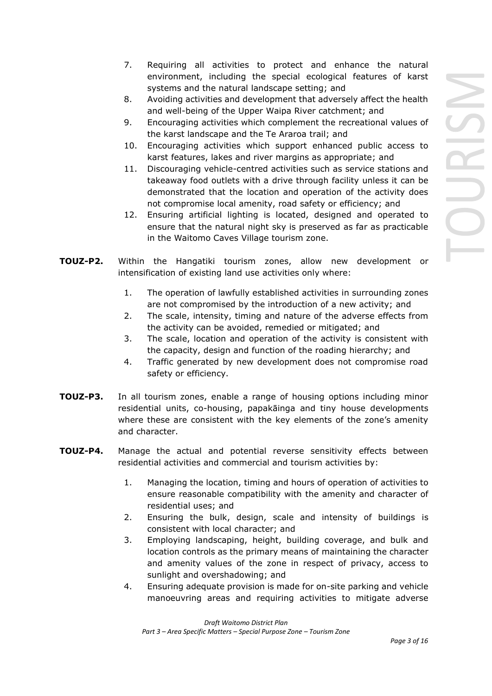- 7. Requiring all activities to protect and enhance the natural environment, including the special ecological features of karst systems and the natural landscape setting; and
- 8. Avoiding activities and development that adversely affect the health and well-being of the Upper Waipa River catchment; and
- 9. Encouraging activities which complement the recreational values of the karst landscape and the Te Araroa trail; and
- 10. Encouraging activities which support enhanced public access to karst features, lakes and river margins as appropriate; and
- 11. Discouraging vehicle-centred activities such as service stations and takeaway food outlets with a drive through facility unless it can be demonstrated that the location and operation of the activity does not compromise local amenity, road safety or efficiency; and
- 12. Ensuring artificial lighting is located, designed and operated to ensure that the natural night sky is preserved as far as practicable in the Waitomo Caves Village tourism zone.
- **TOUZ-P2.** Within the Hangatiki tourism zones, allow new development or intensification of existing land use activities only where:
	- 1. The operation of lawfully established activities in surrounding zones are not compromised by the introduction of a new activity; and
	- 2. The scale, intensity, timing and nature of the adverse effects from the activity can be avoided, remedied or mitigated; and
	- 3. The scale, location and operation of the activity is consistent with the capacity, design and function of the roading hierarchy; and
	- 4. Traffic generated by new development does not compromise road safety or efficiency.
- **TOUZ-P3.** In all tourism zones, enable a range of housing options including minor residential units, co-housing, papakāinga and tiny house developments where these are consistent with the key elements of the zone's amenity and character.
- **TOUZ-P4.** Manage the actual and potential reverse sensitivity effects between residential activities and commercial and tourism activities by:
	- 1. Managing the location, timing and hours of operation of activities to ensure reasonable compatibility with the amenity and character of residential uses; and
	- 2. Ensuring the bulk, design, scale and intensity of buildings is consistent with local character; and
	- 3. Employing landscaping, height, building coverage, and bulk and location controls as the primary means of maintaining the character and amenity values of the zone in respect of privacy, access to sunlight and overshadowing; and
	- 4. Ensuring adequate provision is made for on-site parking and vehicle manoeuvring areas and requiring activities to mitigate adverse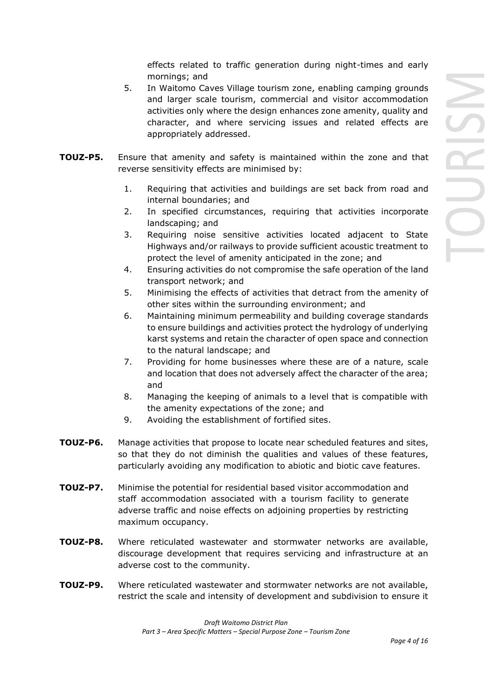effects related to traffic generation during night-times and early mornings; and

- 5. In Waitomo Caves Village tourism zone, enabling camping grounds and larger scale tourism, commercial and visitor accommodation activities only where the design enhances zone amenity, quality and character, and where servicing issues and related effects are appropriately addressed.
- **TOUZ-P5.** Ensure that amenity and safety is maintained within the zone and that reverse sensitivity effects are minimised by:
	- 1. Requiring that activities and buildings are set back from road and internal boundaries; and
	- 2. In specified circumstances, requiring that activities incorporate landscaping; and
	- 3. Requiring noise sensitive activities located adjacent to State Highways and/or railways to provide sufficient acoustic treatment to protect the level of amenity anticipated in the zone; and
	- 4. Ensuring activities do not compromise the safe operation of the land transport network; and
	- 5. Minimising the effects of activities that detract from the amenity of other sites within the surrounding environment; and
	- 6. Maintaining minimum permeability and building coverage standards to ensure buildings and activities protect the hydrology of underlying karst systems and retain the character of open space and connection to the natural landscape; and
	- 7. Providing for home businesses where these are of a nature, scale and location that does not adversely affect the character of the area; and
	- 8. Managing the keeping of animals to a level that is compatible with the amenity expectations of the zone; and
	- 9. Avoiding the establishment of fortified sites.
- **TOUZ-P6.** Manage activities that propose to locate near scheduled features and sites, so that they do not diminish the qualities and values of these features, particularly avoiding any modification to abiotic and biotic cave features.
- **TOUZ-P7.** Minimise the potential for residential based visitor accommodation and staff accommodation associated with a tourism facility to generate adverse traffic and noise effects on adjoining properties by restricting maximum occupancy.
- **TOUZ-P8.** Where reticulated wastewater and stormwater networks are available, discourage development that requires servicing and infrastructure at an adverse cost to the community.
- **TOUZ-P9.** Where reticulated wastewater and stormwater networks are not available, restrict the scale and intensity of development and subdivision to ensure it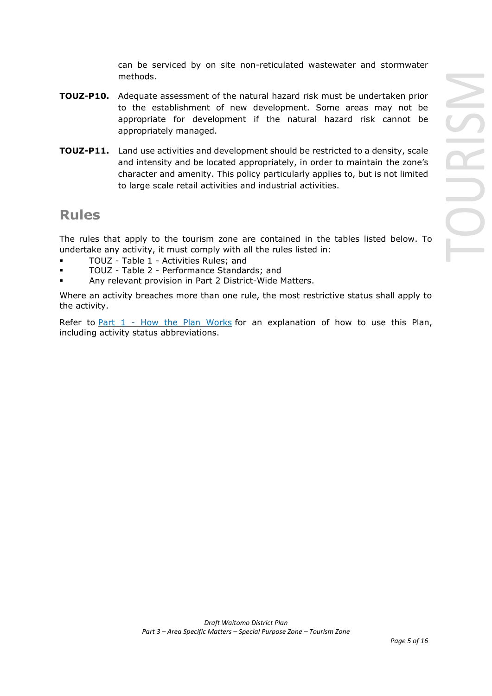can be serviced by on site non-reticulated wastewater and stormwater methods.

- **TOUZ-P10.** Adequate assessment of the natural hazard risk must be undertaken prior to the establishment of new development. Some areas may not be appropriate for development if the natural hazard risk cannot be appropriately managed.
- **TOUZ-P11.** Land use activities and development should be restricted to a density, scale and intensity and be located appropriately, in order to maintain the zone's character and amenity. This policy particularly applies to, but is not limited to large scale retail activities and industrial activities.

## **Rules**

The rules that apply to the tourism zone are contained in the tables listed below. To undertake any activity, it must comply with all the rules listed in:

- TOUZ Table 1 Activities Rules; and
- TOUZ Table 2 Performance Standards; and
- Any relevant provision in Part 2 District-Wide Matters.

Where an activity breaches more than one rule, the most restrictive status shall apply to the activity.

Refer to [Part 1](javascript:void(0)) - How the Plan Works for an explanation of how to use this Plan, including activity status abbreviations.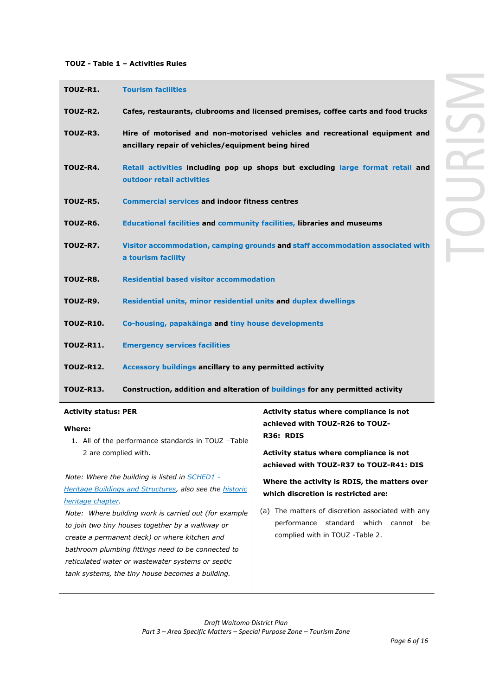## **TOUZ - Table 1 – Activities Rules**

| TOUZ-R1.         | <b>Tourism facilities</b>                                                                                                         |
|------------------|-----------------------------------------------------------------------------------------------------------------------------------|
| TOUZ-R2.         | Cafes, restaurants, clubrooms and licensed premises, coffee carts and food trucks                                                 |
| TOUZ-R3.         | Hire of motorised and non-motorised vehicles and recreational equipment and<br>ancillary repair of vehicles/equipment being hired |
| TOUZ-R4.         | Retail activities including pop up shops but excluding large format retail and<br>outdoor retail activities                       |
| TOUZ-R5.         | <b>Commercial services and indoor fitness centres</b>                                                                             |
| TOUZ-R6.         | Educational facilities and community facilities, libraries and museums                                                            |
| TOUZ-R7.         | Visitor accommodation, camping grounds and staff accommodation associated with<br>a tourism facility                              |
| TOUZ-R8.         | <b>Residential based visitor accommodation</b>                                                                                    |
| TOUZ-R9.         | Residential units, minor residential units and duplex dwellings                                                                   |
| <b>TOUZ-R10.</b> | Co-housing, papakainga and tiny house developments                                                                                |
| <b>TOUZ-R11.</b> | <b>Emergency services facilities</b>                                                                                              |
| <b>TOUZ-R12.</b> | Accessory buildings ancillary to any permitted activity                                                                           |
| <b>TOUZ-R13.</b> | Construction, addition and alteration of buildings for any permitted activity                                                     |

### **Activity status: PER**

#### **Where:** 1. All of the performance standards in TOUZ –Table 2 are complied with. *Note: Where the building is listed in SCHED1 - Heritage Buildings and Structures, also see the historic heritage chapter. Note: Where building work is carried out (for example to join two tiny houses together by a walkway or create a permanent deck) or where kitchen and bathroom plumbing fittings need to be connected to reticulated water or wastewater systems or septic tank systems, the tiny house becomes a building.* **achieved with TOUZ-R26 to TOUZ-R36: RDIS Activity status where compliance is not achieved with TOUZ-R37 to TOUZ-R41: DIS Where the activity is RDIS, the matters over which discretion is restricted are:** (a) The matters of discretion associated with any performance standard which cannot be complied with in TOUZ -Table 2.

**Activity status where compliance is not** 

JRISN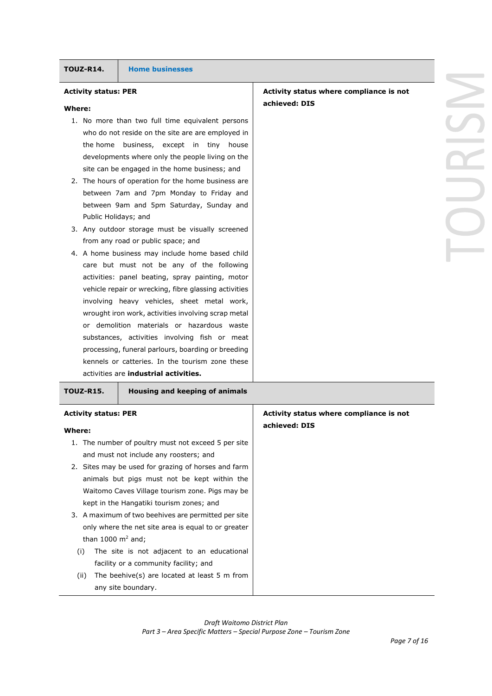| Activity status where compliance is not |  |
|-----------------------------------------|--|
| achieved: DIS                           |  |
|                                         |  |
|                                         |  |
|                                         |  |
|                                         |  |
|                                         |  |
|                                         |  |
|                                         |  |
|                                         |  |
|                                         |  |

## **Activity status: PER**

#### **Where:**

- 1. No more than two full time equivalent persons who do not reside on the site are are employed in the home business, except in tiny house developments where only the people living on the site can be engaged in the home business; and
- 2. The hours of operation for the home business are between 7am and 7pm Monday to Friday and between 9am and 5pm Saturday, Sunday and Public Holidays; and
- 3. Any outdoor storage must be visually screened from any road or public space; and
- 4. A home business may include home based child care but must not be any of the following activities: panel beating, spray painting, motor vehicle repair or wrecking, fibre glassing activities involving heavy vehicles, sheet metal work, wrought iron work, activities involving scrap metal or demolition materials or hazardous waste substances, activities involving fish or meat processing, funeral parlours, boarding or breeding kennels or catteries. In the tourism zone these activities are **industrial activities.**

| <b>TOUZ-R15.</b>                      | Housing and keeping of animals                                                                             |                                                          |
|---------------------------------------|------------------------------------------------------------------------------------------------------------|----------------------------------------------------------|
| <b>Activity status: PER</b><br>Where: |                                                                                                            | Activity status where compliance is not<br>achieved: DIS |
|                                       | 1. The number of poultry must not exceed 5 per site<br>and must not include any roosters; and              |                                                          |
|                                       | 2. Sites may be used for grazing of horses and farm<br>animals but pigs must not be kept within the        |                                                          |
|                                       | Waitomo Caves Village tourism zone. Pigs may be<br>kept in the Hangatiki tourism zones; and                |                                                          |
|                                       | 3. A maximum of two beehives are permitted per site<br>only where the net site area is equal to or greater |                                                          |
| than 1000 $m2$ and;<br>(i)            | The site is not adjacent to an educational<br>facility or a community facility; and                        |                                                          |
| (ii)                                  | The beehive(s) are located at least 5 $m$ from<br>any site boundary.                                       |                                                          |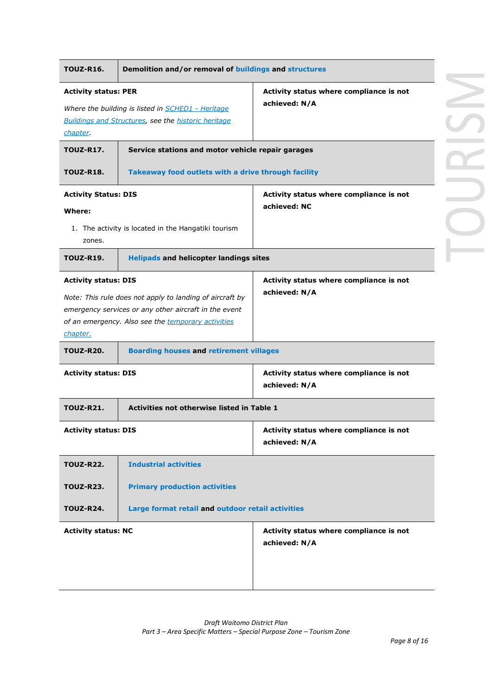| <b>TOUZ-R16.</b>            | Demolition and/or removal of buildings and structures                                                                                                                   |                                                          |
|-----------------------------|-------------------------------------------------------------------------------------------------------------------------------------------------------------------------|----------------------------------------------------------|
| <b>Activity status: PER</b> |                                                                                                                                                                         | Activity status where compliance is not                  |
|                             | Where the building is listed in <b>SCHED1</b> - Heritage                                                                                                                | achieved: N/A                                            |
| chapter.                    | <b>Buildings and Structures, see the historic heritage</b>                                                                                                              |                                                          |
| <b>TOUZ-R17.</b>            | Service stations and motor vehicle repair garages                                                                                                                       |                                                          |
| <b>TOUZ-R18.</b>            | Takeaway food outlets with a drive through facility                                                                                                                     |                                                          |
| <b>Activity Status: DIS</b> |                                                                                                                                                                         | Activity status where compliance is not                  |
| Where:                      |                                                                                                                                                                         | achieved: NC                                             |
| zones.                      | 1. The activity is located in the Hangatiki tourism                                                                                                                     |                                                          |
| <b>TOUZ-R19.</b>            | <b>Helipads and helicopter landings sites</b>                                                                                                                           |                                                          |
| <b>Activity status: DIS</b> |                                                                                                                                                                         | Activity status where compliance is not                  |
| chapter.                    | Note: This rule does not apply to landing of aircraft by<br>emergency services or any other aircraft in the event<br>of an emergency. Also see the temporary activities |                                                          |
| <b>TOUZ-R20.</b>            | <b>Boarding houses and retirement villages</b>                                                                                                                          |                                                          |
| <b>Activity status: DIS</b> |                                                                                                                                                                         | Activity status where compliance is not<br>achieved: N/A |
| <b>TOUZ-R21.</b>            | Activities not otherwise listed in Table 1                                                                                                                              |                                                          |
| <b>Activity status: DIS</b> |                                                                                                                                                                         | Activity status where compliance is not<br>achieved: N/A |
| <b>TOUZ-R22.</b>            | <b>Industrial activities</b>                                                                                                                                            |                                                          |
| <b>TOUZ-R23.</b>            | <b>Primary production activities</b>                                                                                                                                    |                                                          |
| <b>TOUZ-R24.</b>            | Large format retail and outdoor retail activities                                                                                                                       |                                                          |
| <b>Activity status: NC</b>  |                                                                                                                                                                         | Activity status where compliance is not<br>achieved: N/A |
|                             |                                                                                                                                                                         |                                                          |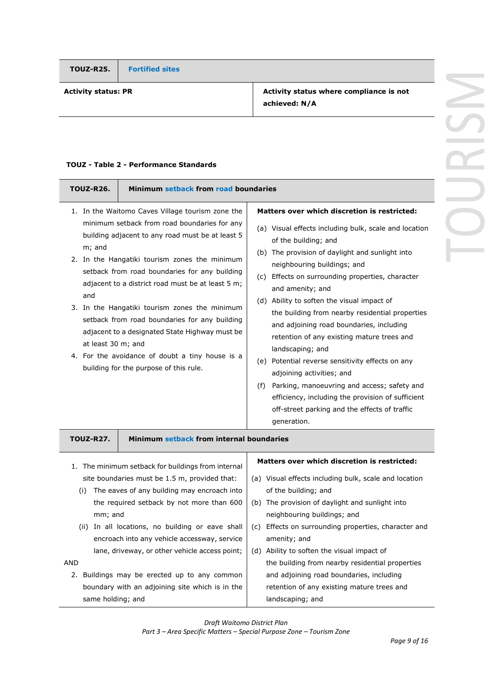**TOUZ-R25. Fortified sites**

**Activity status: PR Activity status where compliance is not achieved: N/A**

## **TOUZ - Table 2 - Performance Standards**

| Minimum setback from road boundaries<br><b>TOUZ-R26.</b>                                                                                                                                                                                                                                                                                                                                                                                                                                                                                                                                            |                                                                                                                                                                                                                                                                                                                                                                                                                                                                                                                                                                                                                                                                                                                                                                 |
|-----------------------------------------------------------------------------------------------------------------------------------------------------------------------------------------------------------------------------------------------------------------------------------------------------------------------------------------------------------------------------------------------------------------------------------------------------------------------------------------------------------------------------------------------------------------------------------------------------|-----------------------------------------------------------------------------------------------------------------------------------------------------------------------------------------------------------------------------------------------------------------------------------------------------------------------------------------------------------------------------------------------------------------------------------------------------------------------------------------------------------------------------------------------------------------------------------------------------------------------------------------------------------------------------------------------------------------------------------------------------------------|
| 1. In the Waitomo Caves Village tourism zone the<br>minimum setback from road boundaries for any<br>building adjacent to any road must be at least 5<br>m; and<br>2. In the Hangatiki tourism zones the minimum<br>setback from road boundaries for any building<br>adjacent to a district road must be at least 5 m;<br>and<br>3. In the Hangatiki tourism zones the minimum<br>setback from road boundaries for any building<br>adjacent to a designated State Highway must be<br>at least 30 m; and<br>4. For the avoidance of doubt a tiny house is a<br>building for the purpose of this rule. | Matters over which discretion is restricted:<br>(a) Visual effects including bulk, scale and location<br>of the building; and<br>(b) The provision of daylight and sunlight into<br>neighbouring buildings; and<br>(c) Effects on surrounding properties, character<br>and amenity; and<br>(d) Ability to soften the visual impact of<br>the building from nearby residential properties<br>and adjoining road boundaries, including<br>retention of any existing mature trees and<br>landscaping; and<br>(e) Potential reverse sensitivity effects on any<br>adjoining activities; and<br>(f) Parking, manoeuvring and access; safety and<br>efficiency, including the provision of sufficient<br>off-street parking and the effects of traffic<br>generation. |
| Minimum setback from internal boundaries<br><b>TOUZ-R27.</b>                                                                                                                                                                                                                                                                                                                                                                                                                                                                                                                                        |                                                                                                                                                                                                                                                                                                                                                                                                                                                                                                                                                                                                                                                                                                                                                                 |
| 1. The minimum setback for buildings from internal<br>site boundaries must be 1.5 m, provided that:<br>(i) The eaves of any building may encroach into<br>the required setback by not more than 600<br>mm; and<br>(ii) In all locations, no building or eave shall<br>encroach into any vehicle accessway, service<br>lane, driveway, or other vehicle access point;<br>AND<br>2. Buildings may be erected up to any common<br>boundary with an adjoining site which is in the<br>same holding; and                                                                                                 | Matters over which discretion is restricted:<br>(a) Visual effects including bulk, scale and location<br>of the building; and<br>(b) The provision of daylight and sunlight into<br>neighbouring buildings; and<br>(c) Effects on surrounding properties, character and<br>amenity; and<br>(d) Ability to soften the visual impact of<br>the building from nearby residential properties<br>and adjoining road boundaries, including<br>retention of any existing mature trees and<br>landscaping; and                                                                                                                                                                                                                                                          |

*Draft Waitomo District Plan*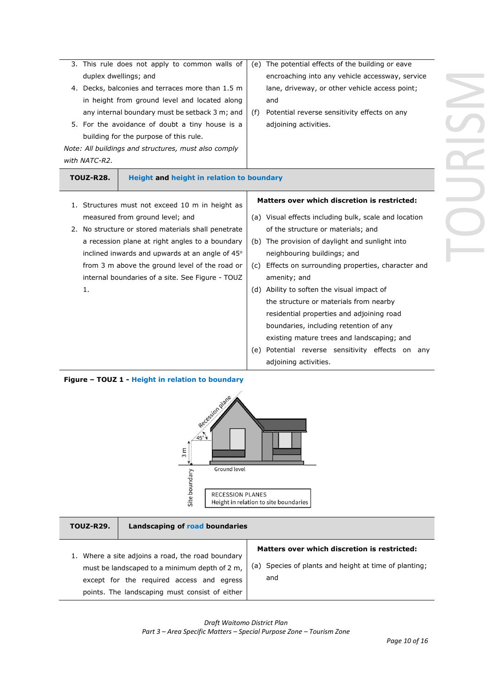|                  |                                                                                                                                                                                                                                                                                                                                                                                                                                                                                                                                                                                                                                                                                                                                              | (e) The potential effects of the building or eave     |
|------------------|----------------------------------------------------------------------------------------------------------------------------------------------------------------------------------------------------------------------------------------------------------------------------------------------------------------------------------------------------------------------------------------------------------------------------------------------------------------------------------------------------------------------------------------------------------------------------------------------------------------------------------------------------------------------------------------------------------------------------------------------|-------------------------------------------------------|
|                  |                                                                                                                                                                                                                                                                                                                                                                                                                                                                                                                                                                                                                                                                                                                                              | encroaching into any vehicle accessway, service       |
|                  |                                                                                                                                                                                                                                                                                                                                                                                                                                                                                                                                                                                                                                                                                                                                              | lane, driveway, or other vehicle access point;        |
|                  |                                                                                                                                                                                                                                                                                                                                                                                                                                                                                                                                                                                                                                                                                                                                              | and                                                   |
|                  | (f)                                                                                                                                                                                                                                                                                                                                                                                                                                                                                                                                                                                                                                                                                                                                          | Potential reverse sensitivity effects on any          |
|                  |                                                                                                                                                                                                                                                                                                                                                                                                                                                                                                                                                                                                                                                                                                                                              | adjoining activities.                                 |
|                  |                                                                                                                                                                                                                                                                                                                                                                                                                                                                                                                                                                                                                                                                                                                                              |                                                       |
|                  |                                                                                                                                                                                                                                                                                                                                                                                                                                                                                                                                                                                                                                                                                                                                              |                                                       |
| with NATC-R2.    |                                                                                                                                                                                                                                                                                                                                                                                                                                                                                                                                                                                                                                                                                                                                              |                                                       |
| <b>TOUZ-R28.</b> |                                                                                                                                                                                                                                                                                                                                                                                                                                                                                                                                                                                                                                                                                                                                              |                                                       |
|                  |                                                                                                                                                                                                                                                                                                                                                                                                                                                                                                                                                                                                                                                                                                                                              |                                                       |
|                  |                                                                                                                                                                                                                                                                                                                                                                                                                                                                                                                                                                                                                                                                                                                                              | <b>Matters over which discretion is restricted:</b>   |
|                  |                                                                                                                                                                                                                                                                                                                                                                                                                                                                                                                                                                                                                                                                                                                                              | (a) Visual effects including bulk, scale and location |
|                  |                                                                                                                                                                                                                                                                                                                                                                                                                                                                                                                                                                                                                                                                                                                                              | of the structure or materials; and                    |
|                  |                                                                                                                                                                                                                                                                                                                                                                                                                                                                                                                                                                                                                                                                                                                                              | (b) The provision of daylight and sunlight into       |
|                  |                                                                                                                                                                                                                                                                                                                                                                                                                                                                                                                                                                                                                                                                                                                                              | neighbouring buildings; and                           |
|                  | (C)                                                                                                                                                                                                                                                                                                                                                                                                                                                                                                                                                                                                                                                                                                                                          | Effects on surrounding properties, character and      |
|                  |                                                                                                                                                                                                                                                                                                                                                                                                                                                                                                                                                                                                                                                                                                                                              | amenity; and                                          |
| 1.               |                                                                                                                                                                                                                                                                                                                                                                                                                                                                                                                                                                                                                                                                                                                                              | (d) Ability to soften the visual impact of            |
|                  |                                                                                                                                                                                                                                                                                                                                                                                                                                                                                                                                                                                                                                                                                                                                              | the structure or materials from nearby                |
|                  |                                                                                                                                                                                                                                                                                                                                                                                                                                                                                                                                                                                                                                                                                                                                              | residential properties and adjoining road             |
|                  |                                                                                                                                                                                                                                                                                                                                                                                                                                                                                                                                                                                                                                                                                                                                              | boundaries, including retention of any                |
|                  |                                                                                                                                                                                                                                                                                                                                                                                                                                                                                                                                                                                                                                                                                                                                              | existing mature trees and landscaping; and            |
|                  | (e)                                                                                                                                                                                                                                                                                                                                                                                                                                                                                                                                                                                                                                                                                                                                          | Potential reverse sensitivity effects on any          |
|                  |                                                                                                                                                                                                                                                                                                                                                                                                                                                                                                                                                                                                                                                                                                                                              | adjoining activities.                                 |
|                  | 3. This rule does not apply to common walls of<br>duplex dwellings; and<br>4. Decks, balconies and terraces more than 1.5 m<br>in height from ground level and located along<br>any internal boundary must be setback 3 m; and<br>5. For the avoidance of doubt a tiny house is a<br>building for the purpose of this rule.<br>Note: All buildings and structures, must also comply<br>1. Structures must not exceed 10 m in height as<br>measured from ground level; and<br>2. No structure or stored materials shall penetrate<br>a recession plane at right angles to a boundary<br>inclined inwards and upwards at an angle of 45°<br>from 3 m above the ground level of the road or<br>internal boundaries of a site. See Figure - TOUZ | Height and height in relation to boundary             |

## **Figure – TOUZ 1 - Height in relation to boundary**



**TOUZ-R29. Landscaping of road boundaries**

1. Where a site adjoins a road, the road boundary must be landscaped to a minimum depth of 2 m, except for the required access and egress points. The landscaping must consist of either

## **Matters over which discretion is restricted:**

(a) Species of plants and height at time of planting; and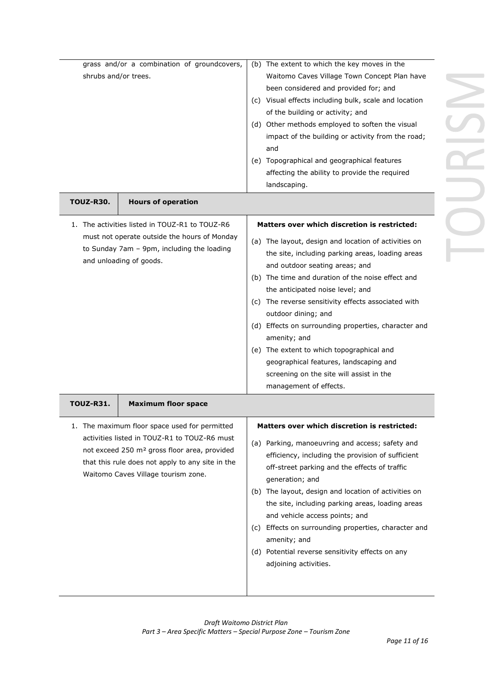| grass and/or a combination of groundcovers,<br>shrubs and/or trees.                                                                                                     | (b) The extent to which the key moves in the<br>Waitomo Caves Village Town Concept Plan have<br>been considered and provided for; and<br>(c) Visual effects including bulk, scale and location<br>of the building or activity; and<br>(d) Other methods employed to soften the visual<br>impact of the building or activity from the road;<br>and<br>(e) Topographical and geographical features<br>affecting the ability to provide the required<br>landscaping.                                                                                                            |
|-------------------------------------------------------------------------------------------------------------------------------------------------------------------------|------------------------------------------------------------------------------------------------------------------------------------------------------------------------------------------------------------------------------------------------------------------------------------------------------------------------------------------------------------------------------------------------------------------------------------------------------------------------------------------------------------------------------------------------------------------------------|
| <b>TOUZ-R30.</b><br><b>Hours of operation</b>                                                                                                                           |                                                                                                                                                                                                                                                                                                                                                                                                                                                                                                                                                                              |
| 1. The activities listed in TOUZ-R1 to TOUZ-R6<br>must not operate outside the hours of Monday<br>to Sunday 7am - 9pm, including the loading<br>and unloading of goods. | Matters over which discretion is restricted:<br>(a) The layout, design and location of activities on<br>the site, including parking areas, loading areas<br>and outdoor seating areas; and<br>(b) The time and duration of the noise effect and<br>the anticipated noise level; and<br>(c) The reverse sensitivity effects associated with<br>outdoor dining; and<br>(d) Effects on surrounding properties, character and<br>amenity; and<br>(e) The extent to which topographical and<br>geographical features, landscaping and<br>screening on the site will assist in the |

| TOUZ-R31. | <b>Maximum floor space</b>                                                                                                                                                                                                                           |                                                                                                                                                                                                                                                                                                                                                                                                                                                                                                                                      |
|-----------|------------------------------------------------------------------------------------------------------------------------------------------------------------------------------------------------------------------------------------------------------|--------------------------------------------------------------------------------------------------------------------------------------------------------------------------------------------------------------------------------------------------------------------------------------------------------------------------------------------------------------------------------------------------------------------------------------------------------------------------------------------------------------------------------------|
|           | 1. The maximum floor space used for permitted<br>activities listed in TOUZ-R1 to TOUZ-R6 must<br>not exceed 250 m <sup>2</sup> gross floor area, provided<br>that this rule does not apply to any site in the<br>Waitomo Caves Village tourism zone. | Matters over which discretion is restricted:<br>(a) Parking, manoeuvring and access; safety and<br>efficiency, including the provision of sufficient<br>off-street parking and the effects of traffic<br>generation; and<br>The layout, design and location of activities on<br>(b)<br>the site, including parking areas, loading areas<br>and vehicle access points; and<br>Effects on surrounding properties, character and<br>(C)<br>amenity; and<br>Potential reverse sensitivity effects on any<br>(d)<br>adjoining activities. |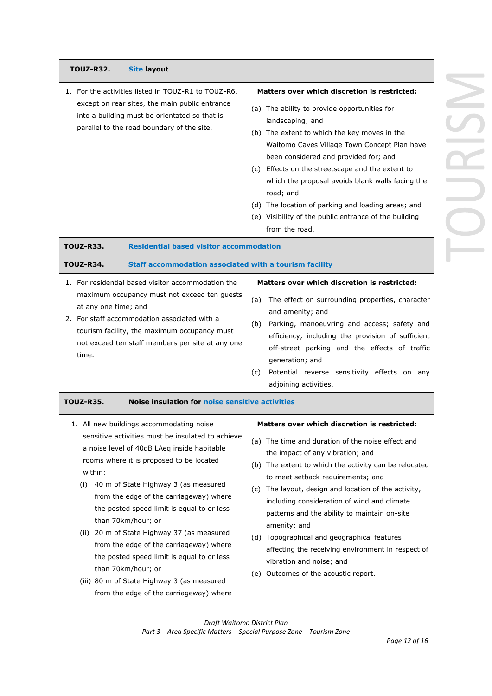| <b>TOUZ-R32.</b>              | <b>Site layout</b>                                                                                                                                                                                                                                                                                                                                                                                                                                                                                                                                                                                    |                                                                                                                                                                                                                                                                                                                                                                                                                                                                                                                                                                                           |
|-------------------------------|-------------------------------------------------------------------------------------------------------------------------------------------------------------------------------------------------------------------------------------------------------------------------------------------------------------------------------------------------------------------------------------------------------------------------------------------------------------------------------------------------------------------------------------------------------------------------------------------------------|-------------------------------------------------------------------------------------------------------------------------------------------------------------------------------------------------------------------------------------------------------------------------------------------------------------------------------------------------------------------------------------------------------------------------------------------------------------------------------------------------------------------------------------------------------------------------------------------|
|                               | 1. For the activities listed in TOUZ-R1 to TOUZ-R6,<br>except on rear sites, the main public entrance<br>into a building must be orientated so that is<br>parallel to the road boundary of the site.                                                                                                                                                                                                                                                                                                                                                                                                  | <b>Matters over which discretion is restricted:</b><br>(a) The ability to provide opportunities for<br>landscaping; and<br>(b) The extent to which the key moves in the<br>Waitomo Caves Village Town Concept Plan have<br>been considered and provided for; and<br>(c) Effects on the streetscape and the extent to<br>which the proposal avoids blank walls facing the<br>road; and<br>(d) The location of parking and loading areas; and<br>(e) Visibility of the public entrance of the building<br>from the road.                                                                    |
| <b>TOUZ-R33.</b><br>TOUZ-R34. | <b>Residential based visitor accommodation</b><br>Staff accommodation associated with a tourism facility                                                                                                                                                                                                                                                                                                                                                                                                                                                                                              |                                                                                                                                                                                                                                                                                                                                                                                                                                                                                                                                                                                           |
| at any one time; and<br>time. | 1. For residential based visitor accommodation the<br>maximum occupancy must not exceed ten guests<br>2. For staff accommodation associated with a<br>tourism facility, the maximum occupancy must<br>not exceed ten staff members per site at any one                                                                                                                                                                                                                                                                                                                                                | Matters over which discretion is restricted:<br>The effect on surrounding properties, character<br>(a)<br>and amenity; and<br>Parking, manoeuvring and access; safety and<br>(b)<br>efficiency, including the provision of sufficient<br>off-street parking and the effects of traffic<br>generation; and<br>Potential reverse sensitivity effects on any<br>(c)<br>adjoining activities.                                                                                                                                                                                                 |
| <b>TOUZ-R35.</b>              | <b>Noise insulation for noise sensitive activities</b>                                                                                                                                                                                                                                                                                                                                                                                                                                                                                                                                                |                                                                                                                                                                                                                                                                                                                                                                                                                                                                                                                                                                                           |
| within:<br>(i)                | 1. All new buildings accommodating noise<br>sensitive activities must be insulated to achieve<br>a noise level of 40dB LAeq inside habitable<br>rooms where it is proposed to be located<br>40 m of State Highway 3 (as measured<br>from the edge of the carriageway) where<br>the posted speed limit is equal to or less<br>than 70km/hour; or<br>(ii) 20 m of State Highway 37 (as measured<br>from the edge of the carriageway) where<br>the posted speed limit is equal to or less<br>than 70km/hour; or<br>(iii) 80 m of State Highway 3 (as measured<br>from the edge of the carriageway) where | <b>Matters over which discretion is restricted:</b><br>(a) The time and duration of the noise effect and<br>the impact of any vibration; and<br>(b) The extent to which the activity can be relocated<br>to meet setback requirements; and<br>(c) The layout, design and location of the activity,<br>including consideration of wind and climate<br>patterns and the ability to maintain on-site<br>amenity; and<br>(d) Topographical and geographical features<br>affecting the receiving environment in respect of<br>vibration and noise; and<br>(e) Outcomes of the acoustic report. |

*Draft Waitomo District Plan Part 3 – Area Specific Matters – Special Purpose Zone – Tourism Zone*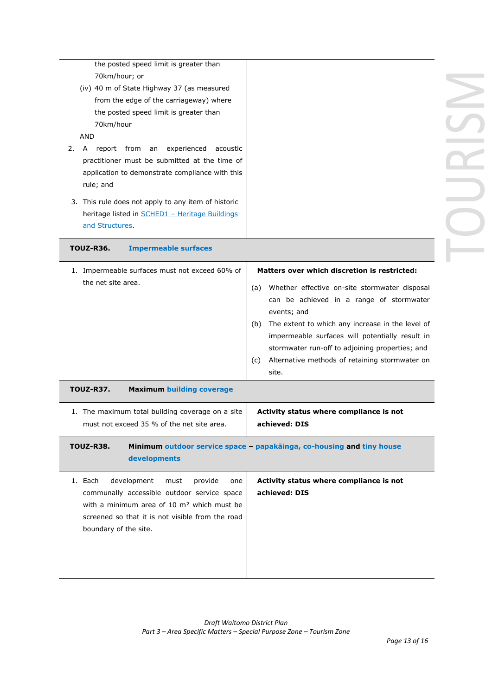| 70km/hour<br><b>AND</b><br>2.<br>A<br>rule; and<br>and Structures | the posted speed limit is greater than<br>70km/hour; or<br>(iv) 40 m of State Highway 37 (as measured<br>from the edge of the carriageway) where<br>the posted speed limit is greater than<br>report from an experienced<br>acoustic<br>practitioner must be submitted at the time of<br>application to demonstrate compliance with this<br>3. This rule does not apply to any item of historic<br>heritage listed in <b>SCHED1</b> - Heritage Buildings |                                                                                                                                                                                                                                                                                                                                                                                                    |  |
|-------------------------------------------------------------------|----------------------------------------------------------------------------------------------------------------------------------------------------------------------------------------------------------------------------------------------------------------------------------------------------------------------------------------------------------------------------------------------------------------------------------------------------------|----------------------------------------------------------------------------------------------------------------------------------------------------------------------------------------------------------------------------------------------------------------------------------------------------------------------------------------------------------------------------------------------------|--|
| <b>TOUZ-R36.</b>                                                  | <b>Impermeable surfaces</b>                                                                                                                                                                                                                                                                                                                                                                                                                              |                                                                                                                                                                                                                                                                                                                                                                                                    |  |
| the net site area.                                                | 1. Impermeable surfaces must not exceed 60% of                                                                                                                                                                                                                                                                                                                                                                                                           | Matters over which discretion is restricted:<br>Whether effective on-site stormwater disposal<br>(a)<br>can be achieved in a range of stormwater<br>events; and<br>The extent to which any increase in the level of<br>(b)<br>impermeable surfaces will potentially result in<br>stormwater run-off to adjoining properties; and<br>Alternative methods of retaining stormwater on<br>(c)<br>site. |  |
| <b>TOUZ-R37.</b>                                                  | <b>Maximum building coverage</b>                                                                                                                                                                                                                                                                                                                                                                                                                         |                                                                                                                                                                                                                                                                                                                                                                                                    |  |
|                                                                   | 1. The maximum total building coverage on a site<br>must not exceed 35 % of the net site area.                                                                                                                                                                                                                                                                                                                                                           | Activity status where compliance is not<br>achieved: DIS                                                                                                                                                                                                                                                                                                                                           |  |
| <b>TOUZ-R38.</b>                                                  | developments                                                                                                                                                                                                                                                                                                                                                                                                                                             | Minimum outdoor service space - papakäinga, co-housing and tiny house                                                                                                                                                                                                                                                                                                                              |  |
| 1. Each<br>boundary of the site.                                  | development<br>provide<br>must<br>one<br>communally accessible outdoor service space<br>with a minimum area of 10 m <sup>2</sup> which must be<br>screened so that it is not visible from the road                                                                                                                                                                                                                                                       | Activity status where compliance is not<br>achieved: DIS                                                                                                                                                                                                                                                                                                                                           |  |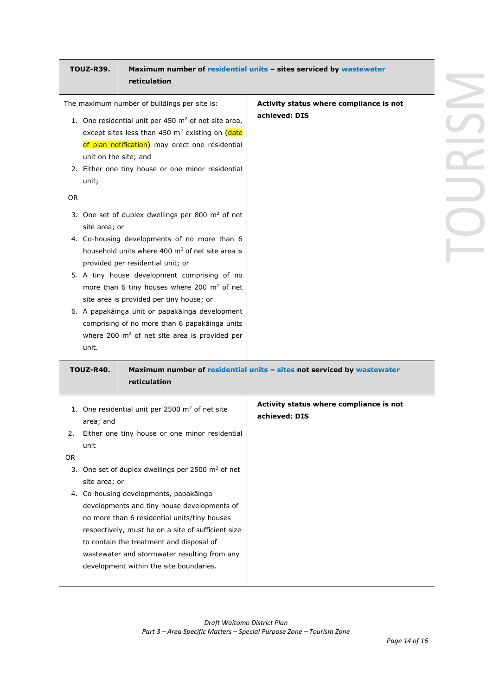|     | <b>TOUZ-R39.</b>      | reticulation                                                                                                                                                                                                                                                                            | Maximum number of residential units - sites serviced by wastewater     |
|-----|-----------------------|-----------------------------------------------------------------------------------------------------------------------------------------------------------------------------------------------------------------------------------------------------------------------------------------|------------------------------------------------------------------------|
|     |                       | The maximum number of buildings per site is:                                                                                                                                                                                                                                            | Activity status where compliance is not                                |
|     | unit on the site; and | 1. One residential unit per 450 $m2$ of net site area,<br>except sites less than 450 m <sup>2</sup> existing on (date<br>of plan notification) may erect one residential<br>2. Either one tiny house or one minor residential                                                           | achieved: DIS                                                          |
|     | unit;                 |                                                                                                                                                                                                                                                                                         |                                                                        |
| OR. |                       |                                                                                                                                                                                                                                                                                         |                                                                        |
|     | site area; or         | 3. One set of duplex dwellings per 800 m <sup>2</sup> of net                                                                                                                                                                                                                            |                                                                        |
|     |                       | 4. Co-housing developments of no more than 6<br>household units where 400 m <sup>2</sup> of net site area is<br>provided per residential unit; or                                                                                                                                       |                                                                        |
|     |                       | 5. A tiny house development comprising of no<br>more than 6 tiny houses where 200 m <sup>2</sup> of net<br>site area is provided per tiny house; or                                                                                                                                     |                                                                        |
|     | unit.                 | 6. A papakāinga unit or papakāinga development<br>comprising of no more than 6 papakainga units<br>where 200 $m2$ of net site area is provided per                                                                                                                                      |                                                                        |
|     | TOUZ-R40.             | reticulation                                                                                                                                                                                                                                                                            | Maximum number of residential units - sites not serviced by wastewater |
|     | area; and             | 1. One residential unit per 2500 m <sup>2</sup> of net site                                                                                                                                                                                                                             | Activity status where compliance is not<br>achieved: DIS               |
| 2.  |                       | Either one tiny house or one minor residential                                                                                                                                                                                                                                          |                                                                        |
| OR. | unit                  |                                                                                                                                                                                                                                                                                         |                                                                        |
|     | site area; or         | 3. One set of duplex dwellings per 2500 m <sup>2</sup> of net                                                                                                                                                                                                                           |                                                                        |
|     |                       | 4. Co-housing developments, papakāinga<br>developments and tiny house developments of<br>no more than 6 residential units/tiny houses<br>respectively, must be on a site of sufficient size<br>to contain the treatment and disposal of<br>wastewater and stormwater resulting from any |                                                                        |
|     |                       | development within the site boundaries.                                                                                                                                                                                                                                                 |                                                                        |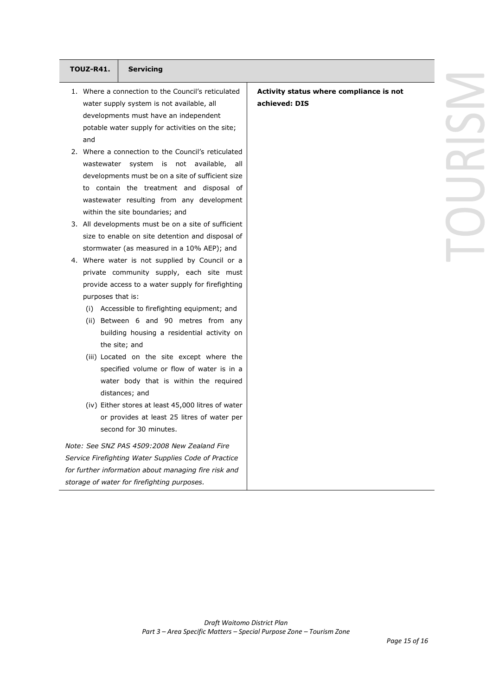| <b>TOUZ-R41.</b><br><b>Servicing</b>                                  |                                         |  |
|-----------------------------------------------------------------------|-----------------------------------------|--|
| 1. Where a connection to the Council's reticulated                    | Activity status where compliance is not |  |
| water supply system is not available, all                             | achieved: DIS                           |  |
| developments must have an independent                                 |                                         |  |
| potable water supply for activities on the site;                      |                                         |  |
| and                                                                   |                                         |  |
| 2. Where a connection to the Council's reticulated                    |                                         |  |
| wastewater system is not available, all                               |                                         |  |
| developments must be on a site of sufficient size                     |                                         |  |
| to contain the treatment and disposal of                              |                                         |  |
| wastewater resulting from any development                             |                                         |  |
| within the site boundaries; and                                       |                                         |  |
| 3. All developments must be on a site of sufficient                   |                                         |  |
| size to enable on site detention and disposal of                      |                                         |  |
| stormwater (as measured in a 10% AEP); and                            |                                         |  |
| 4. Where water is not supplied by Council or a                        |                                         |  |
| private community supply, each site must                              |                                         |  |
| provide access to a water supply for firefighting                     |                                         |  |
| purposes that is:                                                     |                                         |  |
| (i) Accessible to firefighting equipment; and                         |                                         |  |
| (ii) Between 6 and 90 metres from any                                 |                                         |  |
| building housing a residential activity on                            |                                         |  |
| the site; and                                                         |                                         |  |
| (iii) Located on the site except where the                            |                                         |  |
| specified volume or flow of water is in a                             |                                         |  |
| water body that is within the required                                |                                         |  |
| distances; and                                                        |                                         |  |
| (iv) Either stores at least 45,000 litres of water                    |                                         |  |
| or provides at least 25 litres of water per<br>second for 30 minutes. |                                         |  |
|                                                                       |                                         |  |
| Note: See SNZ PAS 4509:2008 New Zealand Fire                          |                                         |  |
| Service Firefighting Water Supplies Code of Practice                  |                                         |  |
| for further information about managing fire risk and                  |                                         |  |

*Page 15 of 16*

*storage of water for firefighting purposes.*